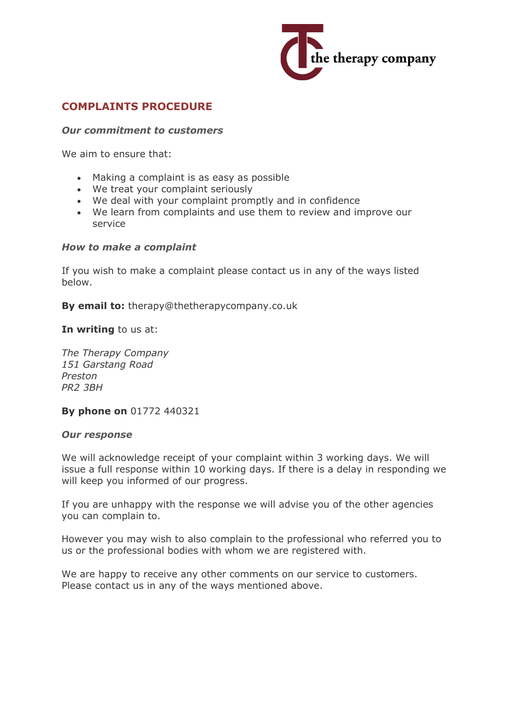

# **COMPLAINTS PROCEDURE**

### *Our commitment to customers*

We aim to ensure that:

- Making a complaint is as easy as possible
- We treat your complaint seriously
- We deal with your complaint promptly and in confidence
- We learn from complaints and use them to review and improve our service

### *How to make a complaint*

If you wish to make a complaint please contact us in any of the ways listed below.

**By email to:** therapy@thetherapycompany.co.uk

**In writing** to us at:

*The Therapy Company 151 Garstang Road Preston PR2 3BH*

**By phone on** 01772 440321

### *Our response*

We will acknowledge receipt of your complaint within 3 working days. We will issue a full response within 10 working days. If there is a delay in responding we will keep you informed of our progress.

If you are unhappy with the response we will advise you of the other agencies you can complain to.

However you may wish to also complain to the professional who referred you to us or the professional bodies with whom we are registered with.

We are happy to receive any other comments on our service to customers. Please contact us in any of the ways mentioned above.